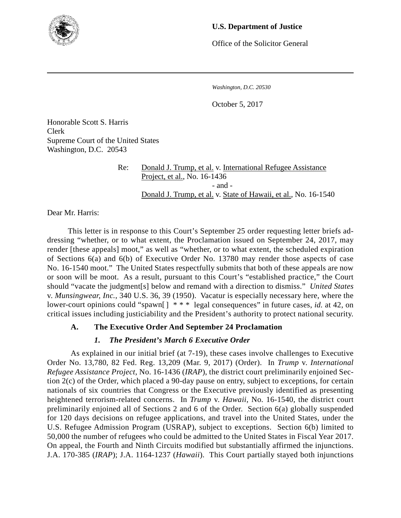

## **U.S. Department of Justice**

Office of the Solicitor General

*Washington, D.C. 20530*

October 5, 2017

Honorable Scott S. Harris Clerk Supreme Court of the United States Washington, D.C. 20543

> Re: Donald J. Trump, et al. v. International Refugee Assistance Project, et al., No. 16-1436 - and - Donald J. Trump, et al. v. State of Hawaii, et al., No. 16-1540

Dear Mr. Harris:

This letter is in response to this Court's September 25 order requesting letter briefs addressing "whether, or to what extent, the Proclamation issued on September 24, 2017, may render [these appeals] moot," as well as "whether, or to what extent, the scheduled expiration of Sections 6(a) and 6(b) of Executive Order No. 13780 may render those aspects of case No. 16-1540 moot." The United States respectfully submits that both of these appeals are now or soon will be moot. As a result, pursuant to this Court's "established practice," the Court should "vacate the judgment[s] below and remand with a direction to dismiss." *United States* v. *Munsingwear, Inc.*, 340 U.S. 36, 39 (1950). Vacatur is especially necessary here, where the lower-court opinions could "spawn[ ] \* \* \* legal consequences" in future cases, *id.* at 42, on critical issues including justiciability and the President's authority to protect national security.

# **A. The Executive Order And September 24 Proclamation**

# *1. The President's March 6 Executive Order*

As explained in our initial brief (at 7-19), these cases involve challenges to Executive Order No. 13,780, 82 Fed. Reg. 13,209 (Mar. 9, 2017) (Order). In *Trump* v. *International Refugee Assistance Project*, No. 16-1436 (*IRAP*), the district court preliminarily enjoined Section 2(c) of the Order, which placed a 90-day pause on entry, subject to exceptions, for certain nationals of six countries that Congress or the Executive previously identified as presenting heightened terrorism-related concerns. In *Trump* v. *Hawaii*, No. 16-1540, the district court preliminarily enjoined all of Sections 2 and 6 of the Order. Section 6(a) globally suspended for 120 days decisions on refugee applications, and travel into the United States, under the U.S. Refugee Admission Program (USRAP), subject to exceptions. Section 6(b) limited to 50,000 the number of refugees who could be admitted to the United States in Fiscal Year 2017. On appeal, the Fourth and Ninth Circuits modified but substantially affirmed the injunctions. J.A. 170-385 (*IRAP*); J.A. 1164-1237 (*Hawaii*). This Court partially stayed both injunctions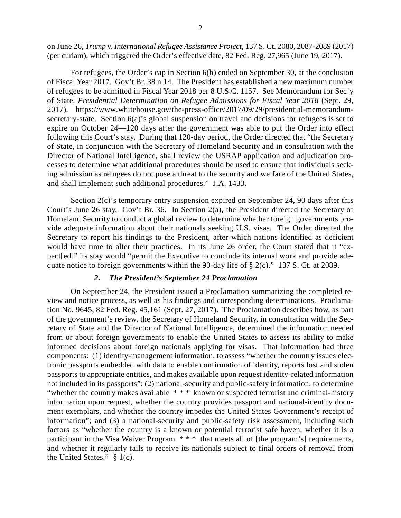on June 26, *Trump* v. *International Refugee Assistance Project*, 137 S. Ct. 2080, 2087-2089 (2017) (per curiam), which triggered the Order's effective date, 82 Fed. Reg. 27,965 (June 19, 2017).

For refugees, the Order's cap in Section 6(b) ended on September 30, at the conclusion of Fiscal Year 2017. Gov't Br. 38 n.14. The President has established a new maximum number of refugees to be admitted in Fiscal Year 2018 per 8 U.S.C. 1157. See Memorandum for Sec'y of State, *Presidential Determination on Refugee Admissions for Fiscal Year 2018* (Sept. 29, 2017), https://www.whitehouse.gov/the-press-office/2017/09/29/presidential-memorandumsecretary-state. Section 6(a)'s global suspension on travel and decisions for refugees is set to expire on October 24—120 days after the government was able to put the Order into effect following this Court's stay. During that 120-day period, the Order directed that "the Secretary of State, in conjunction with the Secretary of Homeland Security and in consultation with the Director of National Intelligence, shall review the USRAP application and adjudication processes to determine what additional procedures should be used to ensure that individuals seeking admission as refugees do not pose a threat to the security and welfare of the United States, and shall implement such additional procedures." J.A. 1433.

Section 2(c)'s temporary entry suspension expired on September 24, 90 days after this Court's June 26 stay. Gov't Br. 36. In Section 2(a), the President directed the Secretary of Homeland Security to conduct a global review to determine whether foreign governments provide adequate information about their nationals seeking U.S. visas. The Order directed the Secretary to report his findings to the President, after which nations identified as deficient would have time to alter their practices. In its June 26 order, the Court stated that it "expect[ed]" its stay would "permit the Executive to conclude its internal work and provide adequate notice to foreign governments within the 90-day life of § 2(c)." 137 S. Ct. at 2089.

#### *2. The President's September 24 Proclamation*

On September 24, the President issued a Proclamation summarizing the completed review and notice process, as well as his findings and corresponding determinations. Proclamation No. 9645, 82 Fed. Reg. 45,161 (Sept. 27, 2017). The Proclamation describes how, as part of the government's review, the Secretary of Homeland Security, in consultation with the Secretary of State and the Director of National Intelligence, determined the information needed from or about foreign governments to enable the United States to assess its ability to make informed decisions about foreign nationals applying for visas. That information had three components: (1) identity-management information, to assess "whether the country issues electronic passports embedded with data to enable confirmation of identity, reports lost and stolen passports to appropriate entities, and makes available upon request identity-related information not included in its passports"; (2) national-security and public-safety information, to determine "whether the country makes available  $***$  known or suspected terrorist and criminal-history information upon request, whether the country provides passport and national-identity document exemplars, and whether the country impedes the United States Government's receipt of information"; and (3) a national-security and public-safety risk assessment, including such factors as "whether the country is a known or potential terrorist safe haven, whether it is a participant in the Visa Waiver Program \* \* \* that meets all of [the program's] requirements, and whether it regularly fails to receive its nationals subject to final orders of removal from the United States." § 1(c).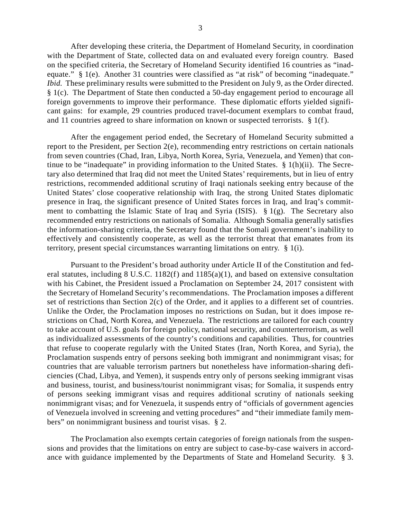After developing these criteria, the Department of Homeland Security, in coordination with the Department of State, collected data on and evaluated every foreign country. Based on the specified criteria, the Secretary of Homeland Security identified 16 countries as "inadequate." § 1(e). Another 31 countries were classified as "at risk" of becoming "inadequate." *Ibid.* These preliminary results were submitted to the President on July 9, as the Order directed. § 1(c). The Department of State then conducted a 50-day engagement period to encourage all foreign governments to improve their performance. These diplomatic efforts yielded significant gains: for example, 29 countries produced travel-document exemplars to combat fraud, and 11 countries agreed to share information on known or suspected terrorists.  $\S$  1(f).

After the engagement period ended, the Secretary of Homeland Security submitted a report to the President, per Section 2(e), recommending entry restrictions on certain nationals from seven countries (Chad, Iran, Libya, North Korea, Syria, Venezuela, and Yemen) that continue to be "inadequate" in providing information to the United States. § 1(h)(ii). The Secretary also determined that Iraq did not meet the United States' requirements, but in lieu of entry restrictions, recommended additional scrutiny of Iraqi nationals seeking entry because of the United States' close cooperative relationship with Iraq, the strong United States diplomatic presence in Iraq, the significant presence of United States forces in Iraq, and Iraq's commitment to combatting the Islamic State of Iraq and Syria (ISIS). § 1(g). The Secretary also recommended entry restrictions on nationals of Somalia. Although Somalia generally satisfies the information-sharing criteria, the Secretary found that the Somali government's inability to effectively and consistently cooperate, as well as the terrorist threat that emanates from its territory, present special circumstances warranting limitations on entry. § 1(i).

Pursuant to the President's broad authority under Article II of the Constitution and federal statutes, including 8 U.S.C. 1182(f) and 1185(a)(1), and based on extensive consultation with his Cabinet, the President issued a Proclamation on September 24, 2017 consistent with the Secretary of Homeland Security's recommendations. The Proclamation imposes a different set of restrictions than Section 2(c) of the Order, and it applies to a different set of countries. Unlike the Order, the Proclamation imposes no restrictions on Sudan, but it does impose restrictions on Chad, North Korea, and Venezuela. The restrictions are tailored for each country to take account of U.S. goals for foreign policy, national security, and counterterrorism, as well as individualized assessments of the country's conditions and capabilities. Thus, for countries that refuse to cooperate regularly with the United States (Iran, North Korea, and Syria), the Proclamation suspends entry of persons seeking both immigrant and nonimmigrant visas; for countries that are valuable terrorism partners but nonetheless have information-sharing deficiencies (Chad, Libya, and Yemen), it suspends entry only of persons seeking immigrant visas and business, tourist, and business/tourist nonimmigrant visas; for Somalia, it suspends entry of persons seeking immigrant visas and requires additional scrutiny of nationals seeking nonimmigrant visas; and for Venezuela, it suspends entry of "officials of government agencies of Venezuela involved in screening and vetting procedures" and "their immediate family members" on nonimmigrant business and tourist visas. § 2.

The Proclamation also exempts certain categories of foreign nationals from the suspensions and provides that the limitations on entry are subject to case-by-case waivers in accordance with guidance implemented by the Departments of State and Homeland Security. § 3.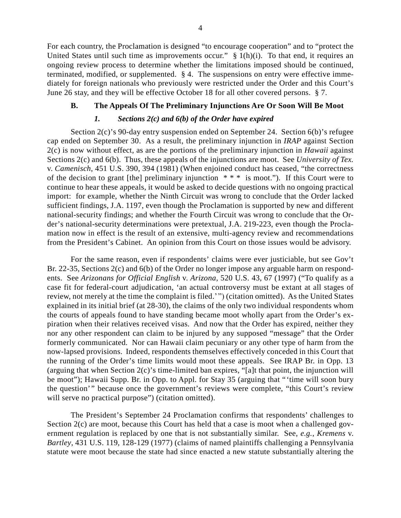For each country, the Proclamation is designed "to encourage cooperation" and to "protect the United States until such time as improvements occur."  $\S 1(h)(i)$ . To that end, it requires an ongoing review process to determine whether the limitations imposed should be continued, terminated, modified, or supplemented. § 4. The suspensions on entry were effective immediately for foreign nationals who previously were restricted under the Order and this Court's June 26 stay, and they will be effective October 18 for all other covered persons. § 7.

## **B. The Appeals Of The Preliminary Injunctions Are Or Soon Will Be Moot**

## *1. Sections 2(c) and 6(b) of the Order have expired*

Section 2(c)'s 90-day entry suspension ended on September 24. Section 6(b)'s refugee cap ended on September 30. As a result, the preliminary injunction in *IRAP* against Section 2(c) is now without effect, as are the portions of the preliminary injunction in *Hawaii* against Sections 2(c) and 6(b). Thus, these appeals of the injunctions are moot. See *University of Tex.* v. *Camenisch*, 451 U.S. 390, 394 (1981) (When enjoined conduct has ceased, "the correctness of the decision to grant [the] preliminary injunction  $**$  is moot."). If this Court were to continue to hear these appeals, it would be asked to decide questions with no ongoing practical import: for example, whether the Ninth Circuit was wrong to conclude that the Order lacked sufficient findings, J.A. 1197, even though the Proclamation is supported by new and different national-security findings; and whether the Fourth Circuit was wrong to conclude that the Order's national-security determinations were pretextual, J.A. 219-223, even though the Proclamation now in effect is the result of an extensive, multi-agency review and recommendations from the President's Cabinet. An opinion from this Court on those issues would be advisory.

For the same reason, even if respondents' claims were ever justiciable, but see Gov't Br. 22-35, Sections 2(c) and 6(b) of the Order no longer impose any arguable harm on respondents. See *Arizonans for Official English* v. *Arizona*, 520 U.S. 43, 67 (1997) ("To qualify as a case fit for federal-court adjudication, 'an actual controversy must be extant at all stages of review, not merely at the time the complaint is filed.' ") (citation omitted). As the United States explained in its initial brief (at 28-30), the claims of the only two individual respondents whom the courts of appeals found to have standing became moot wholly apart from the Order's expiration when their relatives received visas. And now that the Order has expired, neither they nor any other respondent can claim to be injured by any supposed "message" that the Order formerly communicated. Nor can Hawaii claim pecuniary or any other type of harm from the now-lapsed provisions. Indeed, respondents themselves effectively conceded in this Court that the running of the Order's time limits would moot these appeals. See IRAP Br. in Opp. 13 (arguing that when Section  $2(c)$ 's time-limited ban expires, "[a]t that point, the injunction will be moot"); Hawaii Supp. Br. in Opp. to Appl. for Stay 35 (arguing that "'time will soon bury the question'" because once the government's reviews were complete, "this Court's review will serve no practical purpose") (citation omitted).

The President's September 24 Proclamation confirms that respondents' challenges to Section 2(c) are moot, because this Court has held that a case is moot when a challenged government regulation is replaced by one that is not substantially similar. See, *e.g.*, *Kremens* v. *Bartley*, 431 U.S. 119, 128-129 (1977) (claims of named plaintiffs challenging a Pennsylvania statute were moot because the state had since enacted a new statute substantially altering the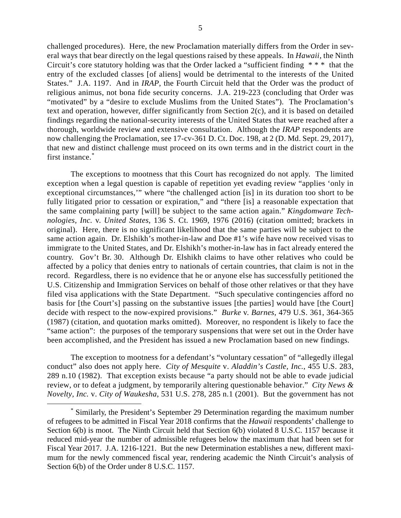challenged procedures). Here, the new Proclamation materially differs from the Order in several ways that bear directly on the legal questions raised by these appeals. In *Hawaii*, the Ninth Circuit's core statutory holding was that the Order lacked a "sufficient finding \* \* \* that the entry of the excluded classes [of aliens] would be detrimental to the interests of the United States." J.A. 1197. And in *IRAP*, the Fourth Circuit held that the Order was the product of religious animus, not bona fide security concerns. J.A. 219-223 (concluding that Order was "motivated" by a "desire to exclude Muslims from the United States"). The Proclamation's text and operation, however, differ significantly from Section 2(c), and it is based on detailed findings regarding the national-security interests of the United States that were reached after a thorough, worldwide review and extensive consultation. Although the *IRAP* respondents are now challenging the Proclamation, see 17-cv-361 D. Ct. Doc. 198, at 2 (D. Md. Sept. 29, 2017), that new and distinct challenge must proceed on its own terms and in the district court in the first instance.[\\*](#page-4-0)

The exceptions to mootness that this Court has recognized do not apply. The limited exception when a legal question is capable of repetition yet evading review "applies 'only in exceptional circumstances,'" where "the challenged action [is] in its duration too short to be fully litigated prior to cessation or expiration," and "there [is] a reasonable expectation that the same complaining party [will] be subject to the same action again." *Kingdomware Technologies, Inc.* v. *United States*, 136 S. Ct. 1969, 1976 (2016) (citation omitted; brackets in original). Here, there is no significant likelihood that the same parties will be subject to the same action again. Dr. Elshikh's mother-in-law and Doe #1's wife have now received visas to immigrate to the United States, and Dr. Elshikh's mother-in-law has in fact already entered the country. Gov't Br. 30. Although Dr. Elshikh claims to have other relatives who could be affected by a policy that denies entry to nationals of certain countries, that claim is not in the record. Regardless, there is no evidence that he or anyone else has successfully petitioned the U.S. Citizenship and Immigration Services on behalf of those other relatives or that they have filed visa applications with the State Department. "Such speculative contingencies afford no basis for [the Court's] passing on the substantive issues [the parties] would have [the Court] decide with respect to the now-expired provisions." *Burke* v. *Barnes*, 479 U.S. 361, 364-365 (1987) (citation, and quotation marks omitted). Moreover, no respondent is likely to face the "same action": the purposes of the temporary suspensions that were set out in the Order have been accomplished, and the President has issued a new Proclamation based on new findings.

The exception to mootness for a defendant's "voluntary cessation" of "allegedly illegal conduct" also does not apply here. *City of Mesquite* v. *Aladdin's Castle, Inc.*, 455 U.S. 283, 289 n.10 (1982). That exception exists because "a party should not be able to evade judicial review, or to defeat a judgment, by temporarily altering questionable behavior." *City News & Novelty, Inc.* v. *City of Waukesha*, 531 U.S. 278, 285 n.1 (2001). But the government has not

<span id="page-4-0"></span> <sup>\*</sup> Similarly, the President's September 29 Determination regarding the maximum number of refugees to be admitted in Fiscal Year 2018 confirms that the *Hawaii* respondents' challenge to Section 6(b) is moot. The Ninth Circuit held that Section 6(b) violated 8 U.S.C. 1157 because it reduced mid-year the number of admissible refugees below the maximum that had been set for Fiscal Year 2017. J.A. 1216-1221. But the new Determination establishes a new, different maximum for the newly commenced fiscal year, rendering academic the Ninth Circuit's analysis of Section 6(b) of the Order under 8 U.S.C. 1157.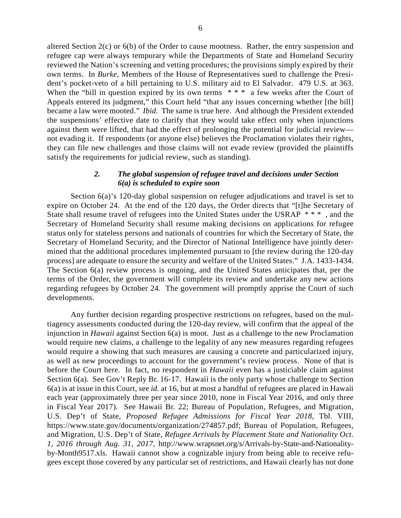altered Section 2(c) or 6(b) of the Order to cause mootness. Rather, the entry suspension and refugee cap were always temporary while the Departments of State and Homeland Security reviewed the Nation's screening and vetting procedures; the provisions simply expired by their own terms. In *Burke*, Members of the House of Representatives sued to challenge the President's pocket-veto of a bill pertaining to U.S. military aid to El Salvador. 479 U.S. at 363. When the "bill in question expired by its own terms  $* * * a$  few weeks after the Court of Appeals entered its judgment," this Court held "that any issues concerning whether [the bill] became a law were mooted." *Ibid.* The same is true here. And although the President extended the suspensions' effective date to clarify that they would take effect only when injunctions against them were lifted, that had the effect of prolonging the potential for judicial review not evading it. If respondents (or anyone else) believes the Proclamation violates their rights, they can file new challenges and those claims will not evade review (provided the plaintiffs satisfy the requirements for judicial review, such as standing).

#### *2. The global suspension of refugee travel and decisions under Section 6(a) is scheduled to expire soon*

Section 6(a)'s 120-day global suspension on refugee adjudications and travel is set to expire on October 24. At the end of the 120 days, the Order directs that "[t]he Secretary of State shall resume travel of refugees into the United States under the USRAP \* \* \* , and the Secretary of Homeland Security shall resume making decisions on applications for refugee status only for stateless persons and nationals of countries for which the Secretary of State, the Secretary of Homeland Security, and the Director of National Intelligence have jointly determined that the additional procedures implemented pursuant to [the review during the 120-day process] are adequate to ensure the security and welfare of the United States." J.A. 1433-1434. The Section 6(a) review process is ongoing, and the United States anticipates that, per the terms of the Order, the government will complete its review and undertake any new actions regarding refugees by October 24. The government will promptly apprise the Court of such developments.

Any further decision regarding prospective restrictions on refugees, based on the multiagency assessments conducted during the 120-day review, will confirm that the appeal of the injunction in *Hawaii* against Section 6(a) is moot. Just as a challenge to the new Proclamation would require new claims, a challenge to the legality of any new measures regarding refugees would require a showing that such measures are causing a concrete and particularized injury, as well as new proceedings to account for the government's review process. None of that is before the Court here. In fact, no respondent in *Hawaii* even has a justiciable claim against Section 6(a). See Gov't Reply Br. 16-17. Hawaii is the only party whose challenge to Section 6(a) is at issue in this Court, see *id.* at 16, but at most a handful of refugees are placed in Hawaii each year (approximately three per year since 2010, none in Fiscal Year 2016, and only three in Fiscal Year 2017). See Hawaii Br. 22; Bureau of Population, Refugees, and Migration, U.S. Dep't of State, *Proposed Refugee Admissions for Fiscal Year 2018*, Tbl. VIII, https://www.state.gov/documents/organization/274857.pdf; Bureau of Population, Refugees, and Migration, U.S. Dep't of State, *Refugee Arrivals by Placement State and Nationality Oct. 1, 2016 through Aug. 31, 2017*, http://www.wrapsnet.org/s/Arrivals-by-State-and-Nationalityby-Month9517.xls. Hawaii cannot show a cognizable injury from being able to receive refugees except those covered by any particular set of restrictions, and Hawaii clearly has not done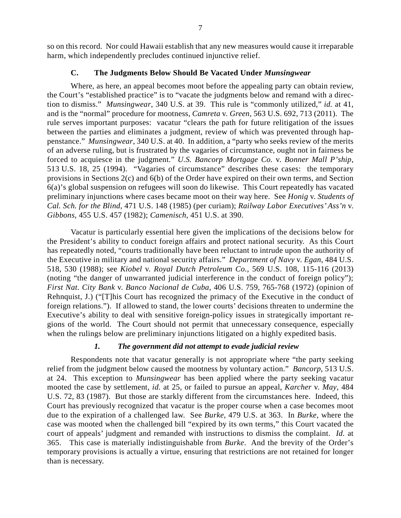so on this record. Nor could Hawaii establish that any new measures would cause it irreparable harm, which independently precludes continued injunctive relief.

### **C. The Judgments Below Should Be Vacated Under** *Munsingwear*

Where, as here, an appeal becomes moot before the appealing party can obtain review, the Court's "established practice" is to "vacate the judgments below and remand with a direction to dismiss." *Munsingwear*, 340 U.S. at 39. This rule is "commonly utilized," *id.* at 41, and is the "normal" procedure for mootness, *Camreta* v. *Green*, 563 U.S. 692, 713 (2011). The rule serves important purposes: vacatur "clears the path for future relitigation of the issues between the parties and eliminates a judgment, review of which was prevented through happenstance." *Munsingwear*, 340 U.S. at 40. In addition, a "party who seeks review of the merits of an adverse ruling, but is frustrated by the vagaries of circumstance, ought not in fairness be forced to acquiesce in the judgment." *U.S. Bancorp Mortgage Co.* v. *Bonner Mall P'ship*, 513 U.S. 18, 25 (1994). "Vagaries of circumstance" describes these cases: the temporary provisions in Sections 2(c) and 6(b) of the Order have expired on their own terms, and Section 6(a)'s global suspension on refugees will soon do likewise. This Court repeatedly has vacated preliminary injunctions where cases became moot on their way here. See *Honig* v. *Students of Cal. Sch. for the Blind*, 471 U.S. 148 (1985) (per curiam); *Railway Labor Executives' Ass'n* v. *Gibbons*, 455 U.S. 457 (1982); *Camenisch*, 451 U.S. at 390.

Vacatur is particularly essential here given the implications of the decisions below for the President's ability to conduct foreign affairs and protect national security. As this Court has repeatedly noted, "courts traditionally have been reluctant to intrude upon the authority of the Executive in military and national security affairs." *Department of Navy* v. *Egan*, 484 U.S. 518, 530 (1988); see *Kiobel* v. *Royal Dutch Petroleum Co.*, 569 U.S. 108, 115-116 (2013) (noting "the danger of unwarranted judicial interference in the conduct of foreign policy"); *First Nat. City Bank* v. *Banco Nacional de Cuba*, 406 U.S. 759, 765-768 (1972) (opinion of Rehnquist, J.) ("[T]his Court has recognized the primacy of the Executive in the conduct of foreign relations."). If allowed to stand, the lower courts' decisions threaten to undermine the Executive's ability to deal with sensitive foreign-policy issues in strategically important regions of the world. The Court should not permit that unnecessary consequence, especially when the rulings below are preliminary injunctions litigated on a highly expedited basis.

## *1. The government did not attempt to evade judicial review*

Respondents note that vacatur generally is not appropriate where "the party seeking relief from the judgment below caused the mootness by voluntary action." *Bancorp*, 513 U.S. at 24. This exception to *Munsingwear* has been applied where the party seeking vacatur mooted the case by settlement, *id.* at 25, or failed to pursue an appeal, *Karcher* v. *May*, 484 U.S. 72, 83 (1987). But those are starkly different from the circumstances here. Indeed, this Court has previously recognized that vacatur is the proper course when a case becomes moot due to the expiration of a challenged law. See *Burke*, 479 U.S. at 363. In *Burke*, where the case was mooted when the challenged bill "expired by its own terms," this Court vacated the court of appeals' judgment and remanded with instructions to dismiss the complaint. *Id.* at 365. This case is materially indistinguishable from *Burke*. And the brevity of the Order's temporary provisions is actually a virtue, ensuring that restrictions are not retained for longer than is necessary.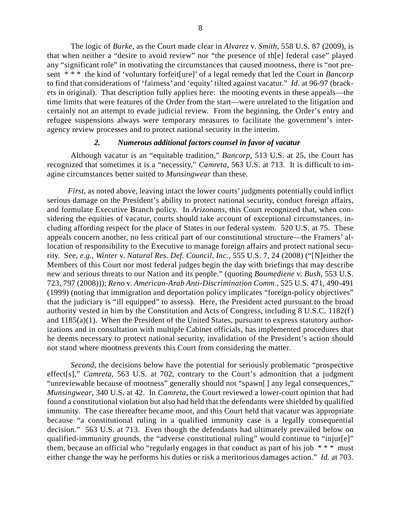The logic of *Burke*, as the Court made clear in *Alvarez* v. *Smith*, 558 U.S. 87 (2009), is that when neither a "desire to avoid review" nor "the presence of th[e] federal case" played any "significant role" in motivating the circumstances that caused mootness, there is "not present \* \* \* the kind of 'voluntary forfeit[ure]' of a legal remedy that led the Court in *Bancorp* to find that considerations of 'fairness' and 'equity' tilted against vacatur." *Id*. at 96-97 (brackets in original). That description fully applies here: the mooting events in these appeals—the time limits that were features of the Order from the start—were unrelated to the litigation and certainly not an attempt to evade judicial review. From the beginning, the Order's entry and refugee suspensions always were temporary measures to facilitate the government's interagency review processes and to protect national security in the interim.

#### *2. Numerous additional factors counsel in favor of vacatur*

Although vacatur is an "equitable tradition," *Bancorp*, 513 U.S. at 25, the Court has recognized that sometimes it is a "necessity," *Camreta*, 563 U.S. at 713. It is difficult to imagine circumstances better suited to *Munsingwear* than these.

*First*, as noted above, leaving intact the lower courts' judgments potentially could inflict serious damage on the President's ability to protect national security, conduct foreign affairs, and formulate Executive Branch policy. In *Arizonans*, this Court recognized that, when considering the equities of vacatur, courts should take account of exceptional circumstances, including affording respect for the place of States in our federal system. 520 U.S. at 75. These appeals concern another, no less critical part of our constitutional structure—the Framers' allocation of responsibility to the Executive to manage foreign affairs and protect national security. See, *e.g.*, *Winter* v. *Natural Res. Def. Council, Inc.*, 555 U.S. 7, 24 (2008) ("[N]either the Members of this Court nor most federal judges begin the day with briefings that may describe new and serious threats to our Nation and its people." (quoting *Boumediene* v. *Bush*, 553 U.S. 723, 797 (2008))); *Reno* v. *American-Arab Anti-Discrimination Comm.*, 525 U.S. 471, 490-491 (1999) (noting that immigration and deportation policy implicates "foreign-policy objectives" that the judiciary is "ill equipped" to assess). Here, the President acted pursuant to the broad authority vested in him by the Constitution and Acts of Congress, including 8 U.S.C. 1182(f) and 1185(a)(1). When the President of the United States, pursuant to express statutory authorizations and in consultation with multiple Cabinet officials, has implemented procedures that he deems necessary to protect national security, invalidation of the President's action should not stand where mootness prevents this Court from considering the matter.

*Second*, the decisions below have the potential for seriously problematic "prospective effect[s]," *Camreta*, 563 U.S. at 702, contrary to the Court's admonition that a judgment "unreviewable because of mootness" generally should not "spawn[] any legal consequences," *Munsingwear*, 340 U.S. at 42. In *Camreta*, the Court reviewed a lower-court opinion that had found a constitutional violation but also had held that the defendants were shielded by qualified immunity. The case thereafter became moot, and this Court held that vacatur was appropriate because "a constitutional ruling in a qualified immunity case is a legally consequential decision." 563 U.S. at 713. Even though the defendants had ultimately prevailed below on qualified-immunity grounds, the "adverse constitutional ruling" would continue to "injur[e]" them, because an official who "regularly engages in that conduct as part of his job  $***$  must either change the way he performs his duties or risk a meritorious damages action." *Id.* at 703.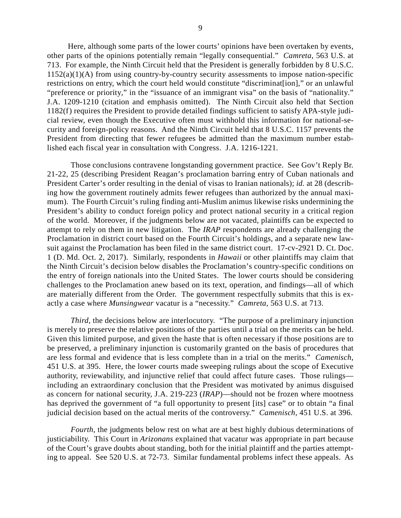Here, although some parts of the lower courts' opinions have been overtaken by events, other parts of the opinions potentially remain "legally consequential." *Camreta*, 563 U.S. at 713. For example, the Ninth Circuit held that the President is generally forbidden by 8 U.S.C.  $1152(a)(1)(A)$  from using country-by-country security assessments to impose nation-specific restrictions on entry, which the court held would constitute "discriminat[ion]," or an unlawful "preference or priority," in the "issuance of an immigrant visa" on the basis of "nationality." J.A. 1209-1210 (citation and emphasis omitted). The Ninth Circuit also held that Section 1182(f) requires the President to provide detailed findings sufficient to satisfy APA-style judicial review, even though the Executive often must withhold this information for national-security and foreign-policy reasons. And the Ninth Circuit held that 8 U.S.C. 1157 prevents the President from directing that fewer refugees be admitted than the maximum number established each fiscal year in consultation with Congress. J.A. 1216-1221.

Those conclusions contravene longstanding government practice. See Gov't Reply Br. 21-22, 25 (describing President Reagan's proclamation barring entry of Cuban nationals and President Carter's order resulting in the denial of visas to Iranian nationals); *id.* at 28 (describing how the government routinely admits fewer refugees than authorized by the annual maximum). The Fourth Circuit's ruling finding anti-Muslim animus likewise risks undermining the President's ability to conduct foreign policy and protect national security in a critical region of the world. Moreover, if the judgments below are not vacated, plaintiffs can be expected to attempt to rely on them in new litigation. The *IRAP* respondents are already challenging the Proclamation in district court based on the Fourth Circuit's holdings, and a separate new lawsuit against the Proclamation has been filed in the same district court. 17-cv-2921 D. Ct. Doc. 1 (D. Md. Oct. 2, 2017). Similarly, respondents in *Hawaii* or other plaintiffs may claim that the Ninth Circuit's decision below disables the Proclamation's country-specific conditions on the entry of foreign nationals into the United States. The lower courts should be considering challenges to the Proclamation anew based on its text, operation, and findings—all of which are materially different from the Order. The government respectfully submits that this is exactly a case where *Munsingwear* vacatur is a "necessity." *Camreta*, 563 U.S. at 713.

*Third*, the decisions below are interlocutory. "The purpose of a preliminary injunction is merely to preserve the relative positions of the parties until a trial on the merits can be held. Given this limited purpose, and given the haste that is often necessary if those positions are to be preserved, a preliminary injunction is customarily granted on the basis of procedures that are less formal and evidence that is less complete than in a trial on the merits." *Camenisch*, 451 U.S. at 395. Here, the lower courts made sweeping rulings about the scope of Executive authority, reviewability, and injunctive relief that could affect future cases. Those rulings including an extraordinary conclusion that the President was motivated by animus disguised as concern for national security, J.A. 219-223 (*IRAP*)—should not be frozen where mootness has deprived the government of "a full opportunity to present [its] case" or to obtain "a final judicial decision based on the actual merits of the controversy." *Camenisch*, 451 U.S. at 396.

*Fourth*, the judgments below rest on what are at best highly dubious determinations of justiciability. This Court in *Arizonans* explained that vacatur was appropriate in part because of the Court's grave doubts about standing, both for the initial plaintiff and the parties attempting to appeal. See 520 U.S. at 72-73. Similar fundamental problems infect these appeals. As